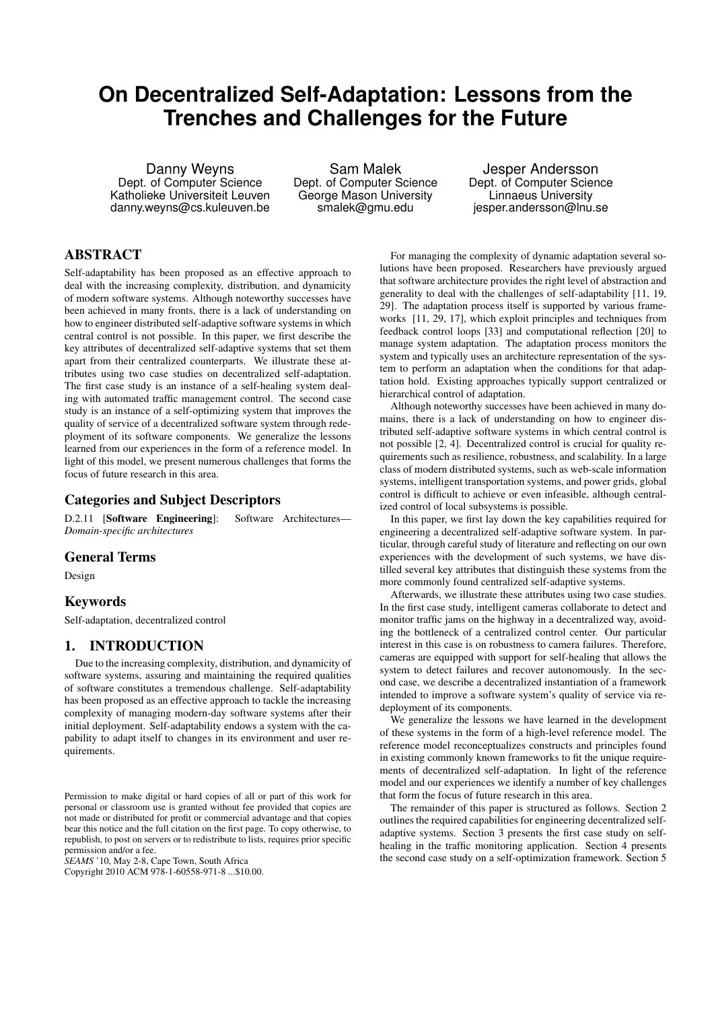# **On Decentralized Self-Adaptation: Lessons from the Trenches and Challenges for the Future**

Danny Weyns Dept. of Computer Science Katholieke Universiteit Leuven danny.weyns@cs.kuleuven.be

Sam Malek Dept. of Computer Science George Mason University smalek@gmu.edu

Jesper Andersson Dept. of Computer Science Linnaeus University jesper.andersson@lnu.se

# ABSTRACT

Self-adaptability has been proposed as an effective approach to deal with the increasing complexity, distribution, and dynamicity of modern software systems. Although noteworthy successes have been achieved in many fronts, there is a lack of understanding on how to engineer distributed self-adaptive software systems in which central control is not possible. In this paper, we first describe the key attributes of decentralized self-adaptive systems that set them apart from their centralized counterparts. We illustrate these attributes using two case studies on decentralized self-adaptation. The first case study is an instance of a self-healing system dealing with automated traffic management control. The second case study is an instance of a self-optimizing system that improves the quality of service of a decentralized software system through redeployment of its software components. We generalize the lessons learned from our experiences in the form of a reference model. In light of this model, we present numerous challenges that forms the focus of future research in this area.

## Categories and Subject Descriptors

D.2.11 [Software Engineering]: Software Architectures— *Domain-specific architectures*

#### General Terms

Design

#### Keywords

Self-adaptation, decentralized control

#### 1. INTRODUCTION

Due to the increasing complexity, distribution, and dynamicity of software systems, assuring and maintaining the required qualities of software constitutes a tremendous challenge. Self-adaptability has been proposed as an effective approach to tackle the increasing complexity of managing modern-day software systems after their initial deployment. Self-adaptability endows a system with the capability to adapt itself to changes in its environment and user requirements.

*SEAMS* '10, May 2-8, Cape Town, South Africa

Copyright 2010 ACM 978-1-60558-971-8 ...\$10.00.

For managing the complexity of dynamic adaptation several solutions have been proposed. Researchers have previously argued that software architecture provides the right level of abstraction and generality to deal with the challenges of self-adaptability [11, 19, 29]. The adaptation process itself is supported by various frameworks [11, 29, 17], which exploit principles and techniques from feedback control loops [33] and computational reflection [20] to manage system adaptation. The adaptation process monitors the system and typically uses an architecture representation of the system to perform an adaptation when the conditions for that adaptation hold. Existing approaches typically support centralized or hierarchical control of adaptation.

Although noteworthy successes have been achieved in many domains, there is a lack of understanding on how to engineer distributed self-adaptive software systems in which central control is not possible [2, 4]. Decentralized control is crucial for quality requirements such as resilience, robustness, and scalability. In a large class of modern distributed systems, such as web-scale information systems, intelligent transportation systems, and power grids, global control is difficult to achieve or even infeasible, although centralized control of local subsystems is possible.

In this paper, we first lay down the key capabilities required for engineering a decentralized self-adaptive software system. In particular, through careful study of literature and reflecting on our own experiences with the development of such systems, we have distilled several key attributes that distinguish these systems from the more commonly found centralized self-adaptive systems.

Afterwards, we illustrate these attributes using two case studies. In the first case study, intelligent cameras collaborate to detect and monitor traffic jams on the highway in a decentralized way, avoiding the bottleneck of a centralized control center. Our particular interest in this case is on robustness to camera failures. Therefore, cameras are equipped with support for self-healing that allows the system to detect failures and recover autonomously. In the second case, we describe a decentralized instantiation of a framework intended to improve a software system's quality of service via redeployment of its components.

We generalize the lessons we have learned in the development of these systems in the form of a high-level reference model. The reference model reconceptualizes constructs and principles found in existing commonly known frameworks to fit the unique requirements of decentralized self-adaptation. In light of the reference model and our experiences we identify a number of key challenges that form the focus of future research in this area.

The remainder of this paper is structured as follows. Section 2 outlines the required capabilities for engineering decentralized selfadaptive systems. Section 3 presents the first case study on selfhealing in the traffic monitoring application. Section 4 presents the second case study on a self-optimization framework. Section 5

Permission to make digital or hard copies of all or part of this work for personal or classroom use is granted without fee provided that copies are not made or distributed for profit or commercial advantage and that copies bear this notice and the full citation on the first page. To copy otherwise, to republish, to post on servers or to redistribute to lists, requires prior specific permission and/or a fee.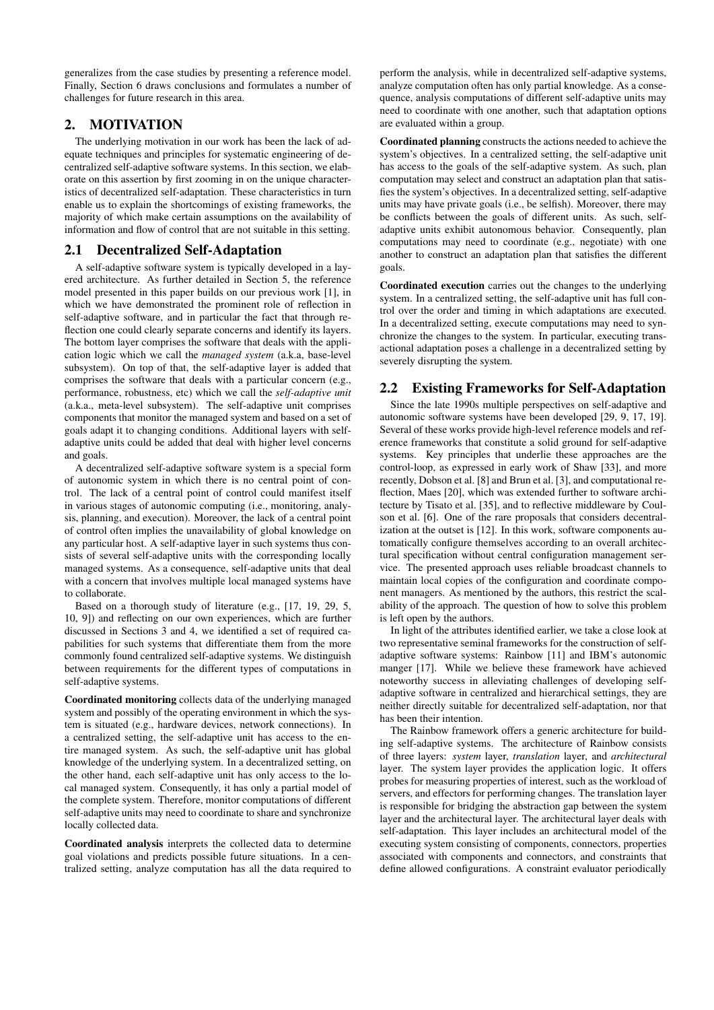generalizes from the case studies by presenting a reference model. Finally, Section 6 draws conclusions and formulates a number of challenges for future research in this area.

# 2. MOTIVATION

The underlying motivation in our work has been the lack of adequate techniques and principles for systematic engineering of decentralized self-adaptive software systems. In this section, we elaborate on this assertion by first zooming in on the unique characteristics of decentralized self-adaptation. These characteristics in turn enable us to explain the shortcomings of existing frameworks, the majority of which make certain assumptions on the availability of information and flow of control that are not suitable in this setting.

## 2.1 Decentralized Self-Adaptation

A self-adaptive software system is typically developed in a layered architecture. As further detailed in Section 5, the reference model presented in this paper builds on our previous work [1], in which we have demonstrated the prominent role of reflection in self-adaptive software, and in particular the fact that through reflection one could clearly separate concerns and identify its layers. The bottom layer comprises the software that deals with the application logic which we call the *managed system* (a.k.a, base-level subsystem). On top of that, the self-adaptive layer is added that comprises the software that deals with a particular concern (e.g., performance, robustness, etc) which we call the *self-adaptive unit* (a.k.a., meta-level subsystem). The self-adaptive unit comprises components that monitor the managed system and based on a set of goals adapt it to changing conditions. Additional layers with selfadaptive units could be added that deal with higher level concerns and goals.

A decentralized self-adaptive software system is a special form of autonomic system in which there is no central point of control. The lack of a central point of control could manifest itself in various stages of autonomic computing (i.e., monitoring, analysis, planning, and execution). Moreover, the lack of a central point of control often implies the unavailability of global knowledge on any particular host. A self-adaptive layer in such systems thus consists of several self-adaptive units with the corresponding locally managed systems. As a consequence, self-adaptive units that deal with a concern that involves multiple local managed systems have to collaborate.

Based on a thorough study of literature (e.g., [17, 19, 29, 5, 10, 9]) and reflecting on our own experiences, which are further discussed in Sections 3 and 4, we identified a set of required capabilities for such systems that differentiate them from the more commonly found centralized self-adaptive systems. We distinguish between requirements for the different types of computations in self-adaptive systems.

Coordinated monitoring collects data of the underlying managed system and possibly of the operating environment in which the system is situated (e.g., hardware devices, network connections). In a centralized setting, the self-adaptive unit has access to the entire managed system. As such, the self-adaptive unit has global knowledge of the underlying system. In a decentralized setting, on the other hand, each self-adaptive unit has only access to the local managed system. Consequently, it has only a partial model of the complete system. Therefore, monitor computations of different self-adaptive units may need to coordinate to share and synchronize locally collected data.

Coordinated analysis interprets the collected data to determine goal violations and predicts possible future situations. In a centralized setting, analyze computation has all the data required to

perform the analysis, while in decentralized self-adaptive systems, analyze computation often has only partial knowledge. As a consequence, analysis computations of different self-adaptive units may need to coordinate with one another, such that adaptation options are evaluated within a group.

Coordinated planning constructs the actions needed to achieve the system's objectives. In a centralized setting, the self-adaptive unit has access to the goals of the self-adaptive system. As such, plan computation may select and construct an adaptation plan that satisfies the system's objectives. In a decentralized setting, self-adaptive units may have private goals (i.e., be selfish). Moreover, there may be conflicts between the goals of different units. As such, selfadaptive units exhibit autonomous behavior. Consequently, plan computations may need to coordinate (e.g., negotiate) with one another to construct an adaptation plan that satisfies the different goals.

Coordinated execution carries out the changes to the underlying system. In a centralized setting, the self-adaptive unit has full control over the order and timing in which adaptations are executed. In a decentralized setting, execute computations may need to synchronize the changes to the system. In particular, executing transactional adaptation poses a challenge in a decentralized setting by severely disrupting the system.

# 2.2 Existing Frameworks for Self-Adaptation

Since the late 1990s multiple perspectives on self-adaptive and autonomic software systems have been developed [29, 9, 17, 19]. Several of these works provide high-level reference models and reference frameworks that constitute a solid ground for self-adaptive systems. Key principles that underlie these approaches are the control-loop, as expressed in early work of Shaw [33], and more recently, Dobson et al. [8] and Brun et al. [3], and computational reflection, Maes [20], which was extended further to software architecture by Tisato et al. [35], and to reflective middleware by Coulson et al. [6]. One of the rare proposals that considers decentralization at the outset is [12]. In this work, software components automatically configure themselves according to an overall architectural specification without central configuration management service. The presented approach uses reliable broadcast channels to maintain local copies of the configuration and coordinate component managers. As mentioned by the authors, this restrict the scalability of the approach. The question of how to solve this problem is left open by the authors.

In light of the attributes identified earlier, we take a close look at two representative seminal frameworks for the construction of selfadaptive software systems: Rainbow [11] and IBM's autonomic manger [17]. While we believe these framework have achieved noteworthy success in alleviating challenges of developing selfadaptive software in centralized and hierarchical settings, they are neither directly suitable for decentralized self-adaptation, nor that has been their intention.

The Rainbow framework offers a generic architecture for building self-adaptive systems. The architecture of Rainbow consists of three layers: *system* layer, *translation* layer, and *architectural* layer. The system layer provides the application logic. It offers probes for measuring properties of interest, such as the workload of servers, and effectors for performing changes. The translation layer is responsible for bridging the abstraction gap between the system layer and the architectural layer. The architectural layer deals with self-adaptation. This layer includes an architectural model of the executing system consisting of components, connectors, properties associated with components and connectors, and constraints that define allowed configurations. A constraint evaluator periodically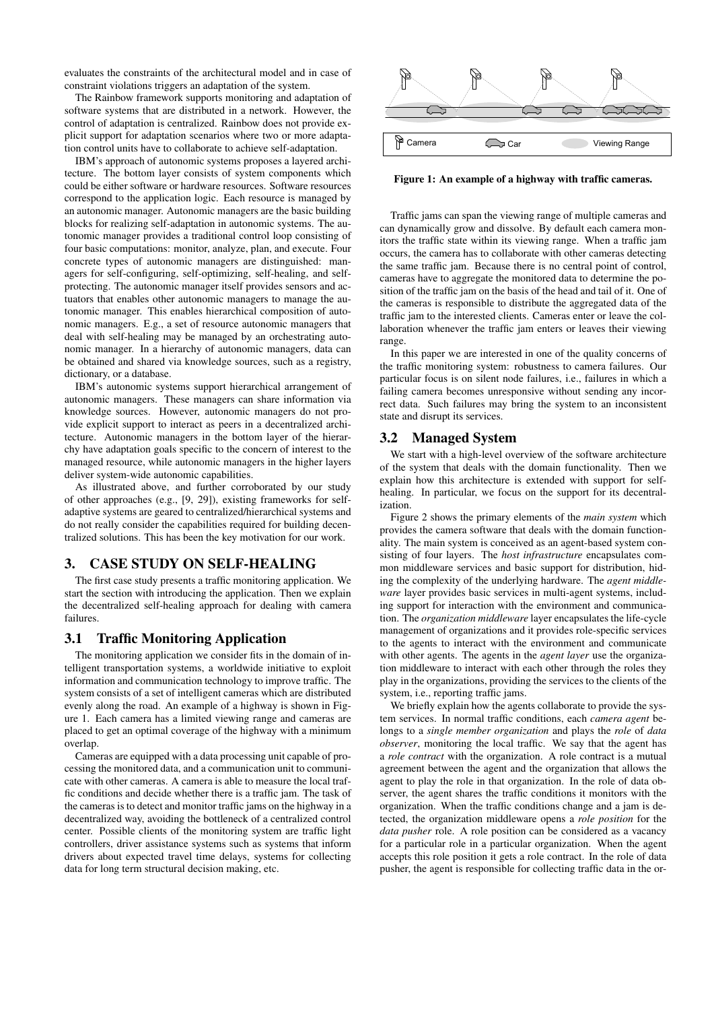evaluates the constraints of the architectural model and in case of constraint violations triggers an adaptation of the system.

The Rainbow framework supports monitoring and adaptation of software systems that are distributed in a network. However, the control of adaptation is centralized. Rainbow does not provide explicit support for adaptation scenarios where two or more adaptation control units have to collaborate to achieve self-adaptation.

IBM's approach of autonomic systems proposes a layered architecture. The bottom layer consists of system components which could be either software or hardware resources. Software resources correspond to the application logic. Each resource is managed by an autonomic manager. Autonomic managers are the basic building blocks for realizing self-adaptation in autonomic systems. The autonomic manager provides a traditional control loop consisting of four basic computations: monitor, analyze, plan, and execute. Four concrete types of autonomic managers are distinguished: managers for self-configuring, self-optimizing, self-healing, and selfprotecting. The autonomic manager itself provides sensors and actuators that enables other autonomic managers to manage the autonomic manager. This enables hierarchical composition of autonomic managers. E.g., a set of resource autonomic managers that deal with self-healing may be managed by an orchestrating autonomic manager. In a hierarchy of autonomic managers, data can be obtained and shared via knowledge sources, such as a registry, dictionary, or a database.

IBM's autonomic systems support hierarchical arrangement of autonomic managers. These managers can share information via knowledge sources. However, autonomic managers do not provide explicit support to interact as peers in a decentralized architecture. Autonomic managers in the bottom layer of the hierarchy have adaptation goals specific to the concern of interest to the managed resource, while autonomic managers in the higher layers deliver system-wide autonomic capabilities.

As illustrated above, and further corroborated by our study of other approaches (e.g., [9, 29]), existing frameworks for selfadaptive systems are geared to centralized/hierarchical systems and do not really consider the capabilities required for building decentralized solutions. This has been the key motivation for our work.

## 3. CASE STUDY ON SELF-HEALING

The first case study presents a traffic monitoring application. We start the section with introducing the application. Then we explain the decentralized self-healing approach for dealing with camera failures.

#### 3.1 Traffic Monitoring Application

The monitoring application we consider fits in the domain of intelligent transportation systems, a worldwide initiative to exploit information and communication technology to improve traffic. The system consists of a set of intelligent cameras which are distributed evenly along the road. An example of a highway is shown in Figure 1. Each camera has a limited viewing range and cameras are placed to get an optimal coverage of the highway with a minimum overlap.

Cameras are equipped with a data processing unit capable of processing the monitored data, and a communication unit to communicate with other cameras. A camera is able to measure the local traffic conditions and decide whether there is a traffic jam. The task of the cameras is to detect and monitor traffic jams on the highway in a decentralized way, avoiding the bottleneck of a centralized control center. Possible clients of the monitoring system are traffic light controllers, driver assistance systems such as systems that inform drivers about expected travel time delays, systems for collecting data for long term structural decision making, etc.



Figure 1: An example of a highway with traffic cameras.

Traffic jams can span the viewing range of multiple cameras and can dynamically grow and dissolve. By default each camera monitors the traffic state within its viewing range. When a traffic jam occurs, the camera has to collaborate with other cameras detecting the same traffic jam. Because there is no central point of control, cameras have to aggregate the monitored data to determine the position of the traffic jam on the basis of the head and tail of it. One of the cameras is responsible to distribute the aggregated data of the traffic jam to the interested clients. Cameras enter or leave the collaboration whenever the traffic jam enters or leaves their viewing range.

In this paper we are interested in one of the quality concerns of the traffic monitoring system: robustness to camera failures. Our particular focus is on silent node failures, i.e., failures in which a failing camera becomes unresponsive without sending any incorrect data. Such failures may bring the system to an inconsistent state and disrupt its services.

#### 3.2 Managed System

We start with a high-level overview of the software architecture of the system that deals with the domain functionality. Then we explain how this architecture is extended with support for selfhealing. In particular, we focus on the support for its decentralization.

Figure 2 shows the primary elements of the *main system* which provides the camera software that deals with the domain functionality. The main system is conceived as an agent-based system consisting of four layers. The *host infrastructure* encapsulates common middleware services and basic support for distribution, hiding the complexity of the underlying hardware. The *agent middleware* layer provides basic services in multi-agent systems, including support for interaction with the environment and communication. The *organization middleware* layer encapsulates the life-cycle management of organizations and it provides role-specific services to the agents to interact with the environment and communicate with other agents. The agents in the *agent layer* use the organization middleware to interact with each other through the roles they play in the organizations, providing the services to the clients of the system, i.e., reporting traffic jams.

We briefly explain how the agents collaborate to provide the system services. In normal traffic conditions, each *camera agent* belongs to a *single member organization* and plays the *role* of *data observer*, monitoring the local traffic. We say that the agent has a *role contract* with the organization. A role contract is a mutual agreement between the agent and the organization that allows the agent to play the role in that organization. In the role of data observer, the agent shares the traffic conditions it monitors with the organization. When the traffic conditions change and a jam is detected, the organization middleware opens a *role position* for the *data pusher* role. A role position can be considered as a vacancy for a particular role in a particular organization. When the agent accepts this role position it gets a role contract. In the role of data pusher, the agent is responsible for collecting traffic data in the or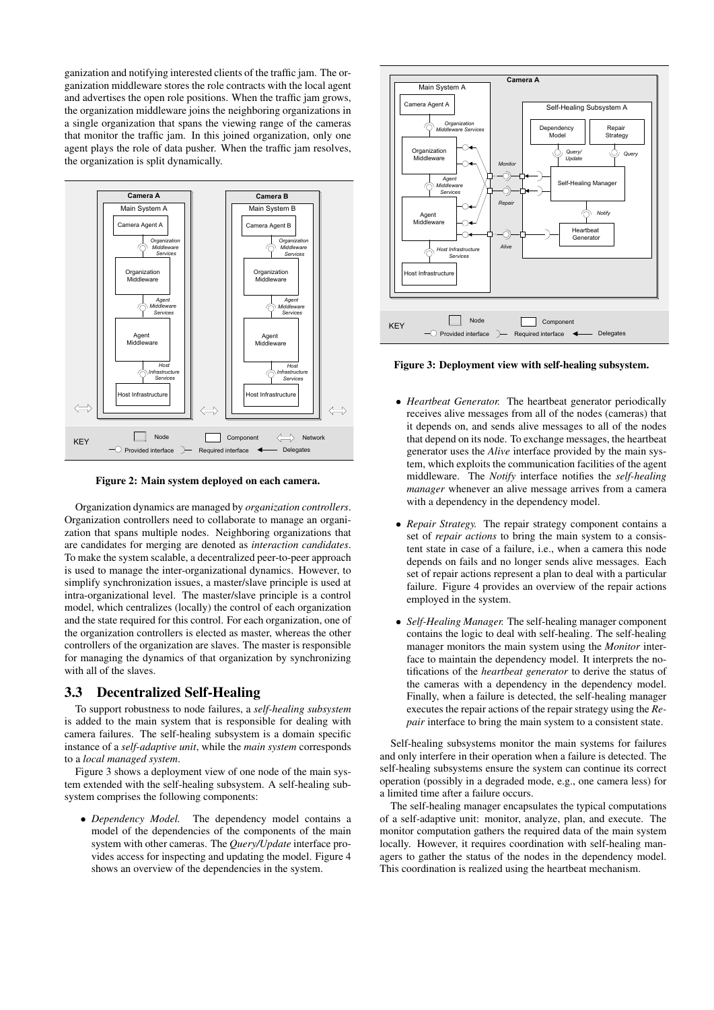ganization and notifying interested clients of the traffic jam. The organization middleware stores the role contracts with the local agent and advertises the open role positions. When the traffic jam grows, the organization middleware joins the neighboring organizations in a single organization that spans the viewing range of the cameras that monitor the traffic jam. In this joined organization, only one agent plays the role of data pusher. When the traffic jam resolves, the organization is split dynamically.



Figure 2: Main system deployed on each camera.

Organization dynamics are managed by *organization controllers*. Organization controllers need to collaborate to manage an organization that spans multiple nodes. Neighboring organizations that are candidates for merging are denoted as *interaction candidates*. To make the system scalable, a decentralized peer-to-peer approach is used to manage the inter-organizational dynamics. However, to simplify synchronization issues, a master/slave principle is used at intra-organizational level. The master/slave principle is a control model, which centralizes (locally) the control of each organization and the state required for this control. For each organization, one of the organization controllers is elected as master, whereas the other controllers of the organization are slaves. The master is responsible for managing the dynamics of that organization by synchronizing with all of the slaves.

#### 3.3 Decentralized Self-Healing

To support robustness to node failures, a *self-healing subsystem* is added to the main system that is responsible for dealing with camera failures. The self-healing subsystem is a domain specific instance of a *self-adaptive unit*, while the *main system* corresponds to a *local managed system*.

Figure 3 shows a deployment view of one node of the main system extended with the self-healing subsystem. A self-healing subsystem comprises the following components:

• *Dependency Model.* The dependency model contains a model of the dependencies of the components of the main system with other cameras. The *Query/Update* interface provides access for inspecting and updating the model. Figure 4 shows an overview of the dependencies in the system.



Figure 3: Deployment view with self-healing subsystem.

- *Heartbeat Generator.* The heartbeat generator periodically receives alive messages from all of the nodes (cameras) that it depends on, and sends alive messages to all of the nodes that depend on its node. To exchange messages, the heartbeat generator uses the *Alive* interface provided by the main system, which exploits the communication facilities of the agent middleware. The *Notify* interface notifies the *self-healing manager* whenever an alive message arrives from a camera with a dependency in the dependency model.
- *Repair Strategy.* The repair strategy component contains a set of *repair actions* to bring the main system to a consistent state in case of a failure, i.e., when a camera this node depends on fails and no longer sends alive messages. Each set of repair actions represent a plan to deal with a particular failure. Figure 4 provides an overview of the repair actions employed in the system.
- *Self-Healing Manager.* The self-healing manager component contains the logic to deal with self-healing. The self-healing manager monitors the main system using the *Monitor* interface to maintain the dependency model. It interprets the notifications of the *heartbeat generator* to derive the status of the cameras with a dependency in the dependency model. Finally, when a failure is detected, the self-healing manager executes the repair actions of the repair strategy using the *Repair* interface to bring the main system to a consistent state.

Self-healing subsystems monitor the main systems for failures and only interfere in their operation when a failure is detected. The self-healing subsystems ensure the system can continue its correct operation (possibly in a degraded mode, e.g., one camera less) for a limited time after a failure occurs.

The self-healing manager encapsulates the typical computations of a self-adaptive unit: monitor, analyze, plan, and execute. The monitor computation gathers the required data of the main system locally. However, it requires coordination with self-healing managers to gather the status of the nodes in the dependency model. This coordination is realized using the heartbeat mechanism.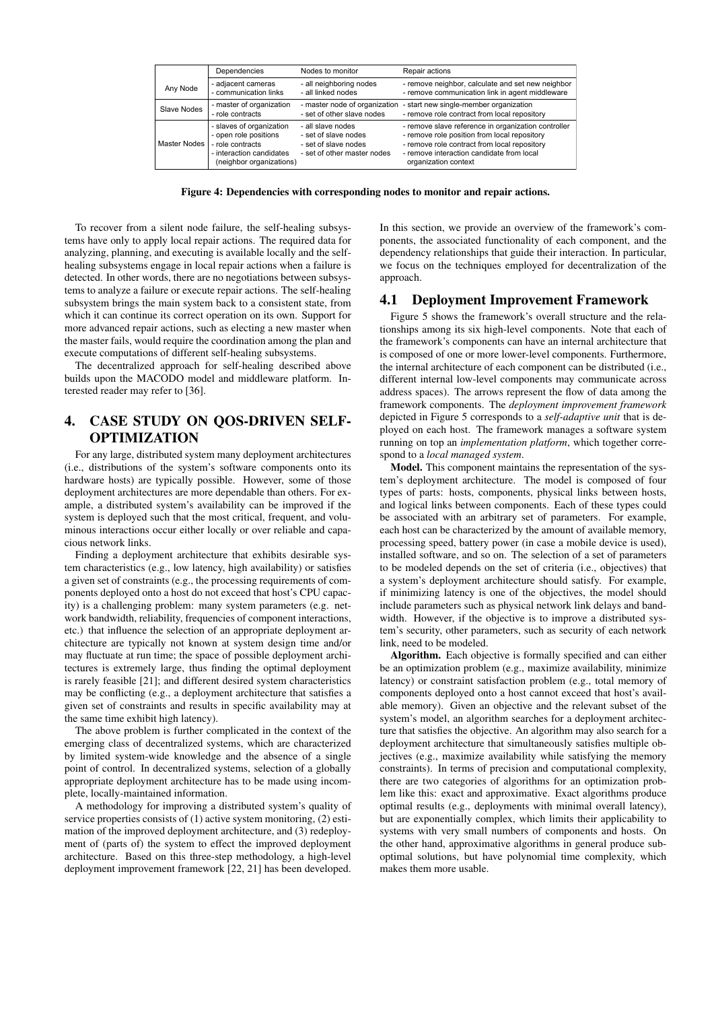|                     | Dependencies                                                                                                                  | Nodes to monitor                                                                                 | Repair actions                                                                                                                                                                                                           |
|---------------------|-------------------------------------------------------------------------------------------------------------------------------|--------------------------------------------------------------------------------------------------|--------------------------------------------------------------------------------------------------------------------------------------------------------------------------------------------------------------------------|
| Any Node            | - adjacent cameras<br>- communication links                                                                                   | - all neighboring nodes<br>- all linked nodes                                                    | - remove neighbor, calculate and set new neighbor<br>- remove communication link in agent middleware                                                                                                                     |
| Slave Nodes         | - master of organization<br>- role contracts                                                                                  | - master node of organization<br>- set of other slave nodes                                      | - start new single-member organization<br>- remove role contract from local repository                                                                                                                                   |
| <b>Master Nodes</b> | - slaves of organization<br>- open role positions<br>- role contracts<br>- interaction candidates<br>(neighbor organizations) | - all slave nodes<br>- set of slave nodes<br>- set of slave nodes<br>- set of other master nodes | - remove slave reference in organization controller<br>- remove role position from local repository<br>- remove role contract from local repository<br>- remove interaction candidate from local<br>organization context |

Figure 4: Dependencies with corresponding nodes to monitor and repair actions.

To recover from a silent node failure, the self-healing subsystems have only to apply local repair actions. The required data for analyzing, planning, and executing is available locally and the selfhealing subsystems engage in local repair actions when a failure is detected. In other words, there are no negotiations between subsystems to analyze a failure or execute repair actions. The self-healing subsystem brings the main system back to a consistent state, from which it can continue its correct operation on its own. Support for more advanced repair actions, such as electing a new master when the master fails, would require the coordination among the plan and execute computations of different self-healing subsystems.

The decentralized approach for self-healing described above builds upon the MACODO model and middleware platform. Interested reader may refer to [36].

# 4. CASE STUDY ON QOS-DRIVEN SELF-OPTIMIZATION

For any large, distributed system many deployment architectures (i.e., distributions of the system's software components onto its hardware hosts) are typically possible. However, some of those deployment architectures are more dependable than others. For example, a distributed system's availability can be improved if the system is deployed such that the most critical, frequent, and voluminous interactions occur either locally or over reliable and capacious network links.

Finding a deployment architecture that exhibits desirable system characteristics (e.g., low latency, high availability) or satisfies a given set of constraints (e.g., the processing requirements of components deployed onto a host do not exceed that host's CPU capacity) is a challenging problem: many system parameters (e.g. network bandwidth, reliability, frequencies of component interactions, etc.) that influence the selection of an appropriate deployment architecture are typically not known at system design time and/or may fluctuate at run time; the space of possible deployment architectures is extremely large, thus finding the optimal deployment is rarely feasible [21]; and different desired system characteristics may be conflicting (e.g., a deployment architecture that satisfies a given set of constraints and results in specific availability may at the same time exhibit high latency).

The above problem is further complicated in the context of the emerging class of decentralized systems, which are characterized by limited system-wide knowledge and the absence of a single point of control. In decentralized systems, selection of a globally appropriate deployment architecture has to be made using incomplete, locally-maintained information.

A methodology for improving a distributed system's quality of service properties consists of  $(1)$  active system monitoring,  $(2)$  estimation of the improved deployment architecture, and (3) redeployment of (parts of) the system to effect the improved deployment architecture. Based on this three-step methodology, a high-level deployment improvement framework [22, 21] has been developed.

In this section, we provide an overview of the framework's components, the associated functionality of each component, and the dependency relationships that guide their interaction. In particular, we focus on the techniques employed for decentralization of the approach.

#### 4.1 Deployment Improvement Framework

Figure 5 shows the framework's overall structure and the relationships among its six high-level components. Note that each of the framework's components can have an internal architecture that is composed of one or more lower-level components. Furthermore, the internal architecture of each component can be distributed (i.e., different internal low-level components may communicate across address spaces). The arrows represent the flow of data among the framework components. The *deployment improvement framework* depicted in Figure 5 corresponds to a *self-adaptive unit* that is deployed on each host. The framework manages a software system running on top an *implementation platform*, which together correspond to a *local managed system*.

Model. This component maintains the representation of the system's deployment architecture. The model is composed of four types of parts: hosts, components, physical links between hosts, and logical links between components. Each of these types could be associated with an arbitrary set of parameters. For example, each host can be characterized by the amount of available memory, processing speed, battery power (in case a mobile device is used), installed software, and so on. The selection of a set of parameters to be modeled depends on the set of criteria (i.e., objectives) that a system's deployment architecture should satisfy. For example, if minimizing latency is one of the objectives, the model should include parameters such as physical network link delays and bandwidth. However, if the objective is to improve a distributed system's security, other parameters, such as security of each network link, need to be modeled.

Algorithm. Each objective is formally specified and can either be an optimization problem (e.g., maximize availability, minimize latency) or constraint satisfaction problem (e.g., total memory of components deployed onto a host cannot exceed that host's available memory). Given an objective and the relevant subset of the system's model, an algorithm searches for a deployment architecture that satisfies the objective. An algorithm may also search for a deployment architecture that simultaneously satisfies multiple objectives (e.g., maximize availability while satisfying the memory constraints). In terms of precision and computational complexity, there are two categories of algorithms for an optimization problem like this: exact and approximative. Exact algorithms produce optimal results (e.g., deployments with minimal overall latency), but are exponentially complex, which limits their applicability to systems with very small numbers of components and hosts. On the other hand, approximative algorithms in general produce suboptimal solutions, but have polynomial time complexity, which makes them more usable.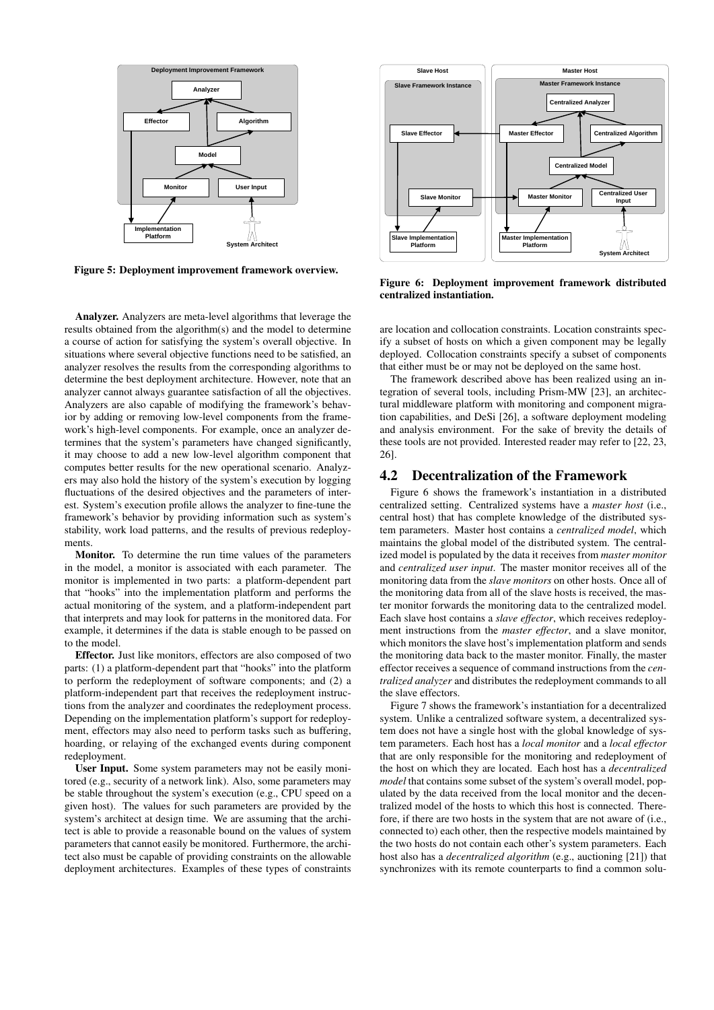

Figure 5: Deployment improvement framework overview.

Analyzer. Analyzers are meta-level algorithms that leverage the results obtained from the algorithm(s) and the model to determine a course of action for satisfying the system's overall objective. In situations where several objective functions need to be satisfied, an analyzer resolves the results from the corresponding algorithms to determine the best deployment architecture. However, note that an analyzer cannot always guarantee satisfaction of all the objectives. Analyzers are also capable of modifying the framework's behavior by adding or removing low-level components from the framework's high-level components. For example, once an analyzer determines that the system's parameters have changed significantly, it may choose to add a new low-level algorithm component that computes better results for the new operational scenario. Analyzers may also hold the history of the system's execution by logging fluctuations of the desired objectives and the parameters of interest. System's execution profile allows the analyzer to fine-tune the framework's behavior by providing information such as system's stability, work load patterns, and the results of previous redeployments.

Monitor. To determine the run time values of the parameters in the model, a monitor is associated with each parameter. The monitor is implemented in two parts: a platform-dependent part that "hooks" into the implementation platform and performs the actual monitoring of the system, and a platform-independent part that interprets and may look for patterns in the monitored data. For example, it determines if the data is stable enough to be passed on to the model.

Effector. Just like monitors, effectors are also composed of two parts: (1) a platform-dependent part that "hooks" into the platform to perform the redeployment of software components; and (2) a platform-independent part that receives the redeployment instructions from the analyzer and coordinates the redeployment process. Depending on the implementation platform's support for redeployment, effectors may also need to perform tasks such as buffering, hoarding, or relaying of the exchanged events during component redeployment.

User Input. Some system parameters may not be easily monitored (e.g., security of a network link). Also, some parameters may be stable throughout the system's execution (e.g., CPU speed on a given host). The values for such parameters are provided by the system's architect at design time. We are assuming that the architect is able to provide a reasonable bound on the values of system parameters that cannot easily be monitored. Furthermore, the architect also must be capable of providing constraints on the allowable deployment architectures. Examples of these types of constraints



Figure 6: Deployment improvement framework distributed centralized instantiation.

are location and collocation constraints. Location constraints specify a subset of hosts on which a given component may be legally deployed. Collocation constraints specify a subset of components that either must be or may not be deployed on the same host.

The framework described above has been realized using an integration of several tools, including Prism-MW [23], an architectural middleware platform with monitoring and component migration capabilities, and DeSi [26], a software deployment modeling and analysis environment. For the sake of brevity the details of these tools are not provided. Interested reader may refer to [22, 23, 26].

#### 4.2 Decentralization of the Framework

Figure 6 shows the framework's instantiation in a distributed centralized setting. Centralized systems have a *master host* (i.e., central host) that has complete knowledge of the distributed system parameters. Master host contains a *centralized model*, which maintains the global model of the distributed system. The centralized model is populated by the data it receives from *master monitor* and *centralized user input*. The master monitor receives all of the monitoring data from the *slave monitors* on other hosts. Once all of the monitoring data from all of the slave hosts is received, the master monitor forwards the monitoring data to the centralized model. Each slave host contains a *slave effector*, which receives redeployment instructions from the *master effector*, and a slave monitor, which monitors the slave host's implementation platform and sends the monitoring data back to the master monitor. Finally, the master effector receives a sequence of command instructions from the *centralized analyzer* and distributes the redeployment commands to all the slave effectors.

Figure 7 shows the framework's instantiation for a decentralized system. Unlike a centralized software system, a decentralized system does not have a single host with the global knowledge of system parameters. Each host has a *local monitor* and a *local effector* that are only responsible for the monitoring and redeployment of the host on which they are located. Each host has a *decentralized model* that contains some subset of the system's overall model, populated by the data received from the local monitor and the decentralized model of the hosts to which this host is connected. Therefore, if there are two hosts in the system that are not aware of (i.e., connected to) each other, then the respective models maintained by the two hosts do not contain each other's system parameters. Each host also has a *decentralized algorithm* (e.g., auctioning [21]) that synchronizes with its remote counterparts to find a common solu-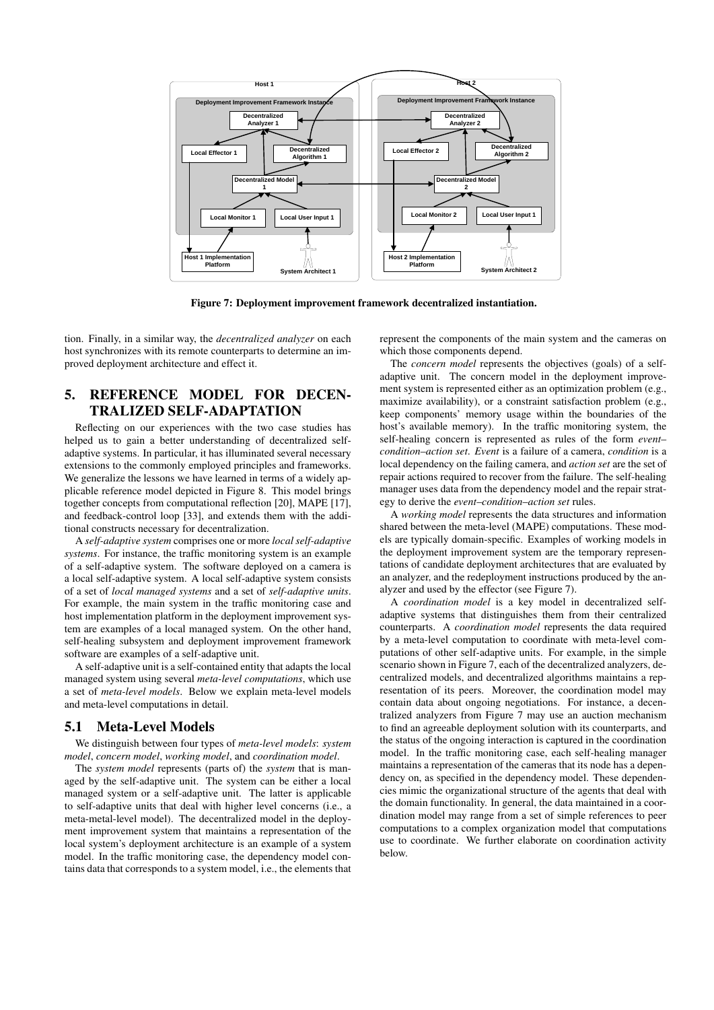

Figure 7: Deployment improvement framework decentralized instantiation.

tion. Finally, in a similar way, the *decentralized analyzer* on each host synchronizes with its remote counterparts to determine an improved deployment architecture and effect it.

# 5. REFERENCE MODEL FOR DECEN-TRALIZED SELF-ADAPTATION

Reflecting on our experiences with the two case studies has helped us to gain a better understanding of decentralized selfadaptive systems. In particular, it has illuminated several necessary extensions to the commonly employed principles and frameworks. We generalize the lessons we have learned in terms of a widely applicable reference model depicted in Figure 8. This model brings together concepts from computational reflection [20], MAPE [17], and feedback-control loop [33], and extends them with the additional constructs necessary for decentralization.

A *self-adaptive system* comprises one or more *local self-adaptive systems*. For instance, the traffic monitoring system is an example of a self-adaptive system. The software deployed on a camera is a local self-adaptive system. A local self-adaptive system consists of a set of *local managed systems* and a set of *self-adaptive units*. For example, the main system in the traffic monitoring case and host implementation platform in the deployment improvement system are examples of a local managed system. On the other hand, self-healing subsystem and deployment improvement framework software are examples of a self-adaptive unit.

A self-adaptive unit is a self-contained entity that adapts the local managed system using several *meta-level computations*, which use a set of *meta-level models*. Below we explain meta-level models and meta-level computations in detail.

#### 5.1 Meta-Level Models

We distinguish between four types of *meta-level models*: *system model*, *concern model*, *working model*, and *coordination model*.

The *system model* represents (parts of) the *system* that is managed by the self-adaptive unit. The system can be either a local managed system or a self-adaptive unit. The latter is applicable to self-adaptive units that deal with higher level concerns (i.e., a meta-metal-level model). The decentralized model in the deployment improvement system that maintains a representation of the local system's deployment architecture is an example of a system model. In the traffic monitoring case, the dependency model contains data that corresponds to a system model, i.e., the elements that represent the components of the main system and the cameras on which those components depend.

The *concern model* represents the objectives (goals) of a selfadaptive unit. The concern model in the deployment improvement system is represented either as an optimization problem (e.g., maximize availability), or a constraint satisfaction problem (e.g., keep components' memory usage within the boundaries of the host's available memory). In the traffic monitoring system, the self-healing concern is represented as rules of the form *event*– *condition*–*action set*. *Event* is a failure of a camera, *condition* is a local dependency on the failing camera, and *action set* are the set of repair actions required to recover from the failure. The self-healing manager uses data from the dependency model and the repair strategy to derive the *event*–*condition*–*action set* rules.

A *working model* represents the data structures and information shared between the meta-level (MAPE) computations. These models are typically domain-specific. Examples of working models in the deployment improvement system are the temporary representations of candidate deployment architectures that are evaluated by an analyzer, and the redeployment instructions produced by the analyzer and used by the effector (see Figure 7).

A *coordination model* is a key model in decentralized selfadaptive systems that distinguishes them from their centralized counterparts. A *coordination model* represents the data required by a meta-level computation to coordinate with meta-level computations of other self-adaptive units. For example, in the simple scenario shown in Figure 7, each of the decentralized analyzers, decentralized models, and decentralized algorithms maintains a representation of its peers. Moreover, the coordination model may contain data about ongoing negotiations. For instance, a decentralized analyzers from Figure 7 may use an auction mechanism to find an agreeable deployment solution with its counterparts, and the status of the ongoing interaction is captured in the coordination model. In the traffic monitoring case, each self-healing manager maintains a representation of the cameras that its node has a dependency on, as specified in the dependency model. These dependencies mimic the organizational structure of the agents that deal with the domain functionality. In general, the data maintained in a coordination model may range from a set of simple references to peer computations to a complex organization model that computations use to coordinate. We further elaborate on coordination activity below.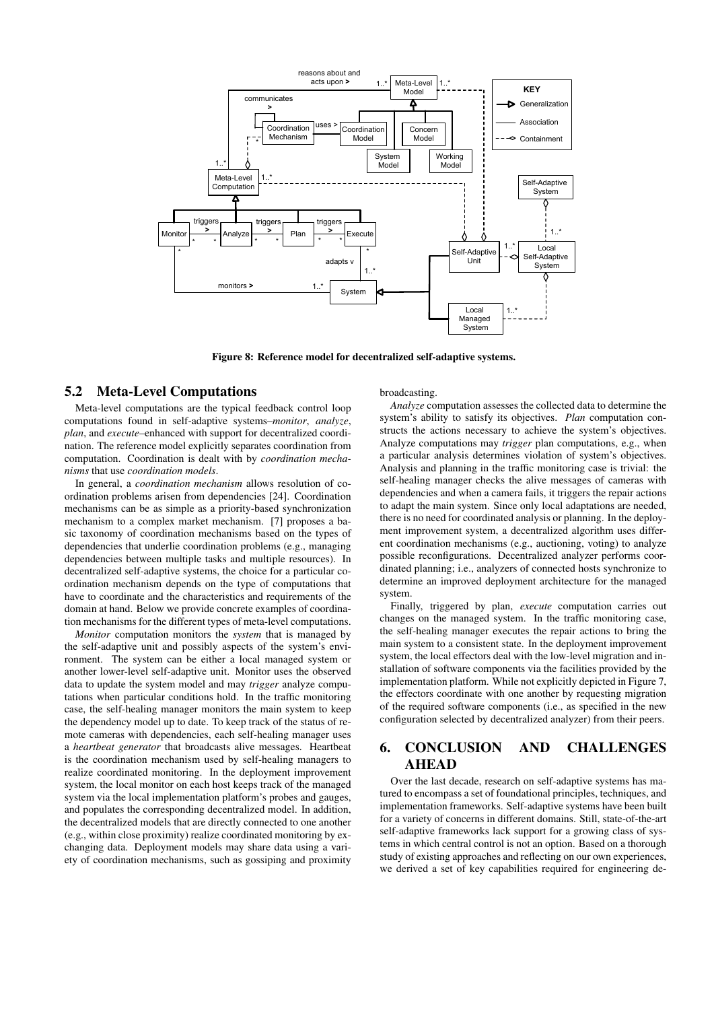

Figure 8: Reference model for decentralized self-adaptive systems.

## 5.2 Meta-Level Computations

Meta-level computations are the typical feedback control loop computations found in self-adaptive systems–*monitor*, *analyze*, *plan*, and *execute*–enhanced with support for decentralized coordination. The reference model explicitly separates coordination from computation. Coordination is dealt with by *coordination mechanisms* that use *coordination models*.

In general, a *coordination mechanism* allows resolution of coordination problems arisen from dependencies [24]. Coordination mechanisms can be as simple as a priority-based synchronization mechanism to a complex market mechanism. [7] proposes a basic taxonomy of coordination mechanisms based on the types of dependencies that underlie coordination problems (e.g., managing dependencies between multiple tasks and multiple resources). In decentralized self-adaptive systems, the choice for a particular coordination mechanism depends on the type of computations that have to coordinate and the characteristics and requirements of the domain at hand. Below we provide concrete examples of coordination mechanisms for the different types of meta-level computations.

*Monitor* computation monitors the *system* that is managed by the self-adaptive unit and possibly aspects of the system's environment. The system can be either a local managed system or another lower-level self-adaptive unit. Monitor uses the observed data to update the system model and may *trigger* analyze computations when particular conditions hold. In the traffic monitoring case, the self-healing manager monitors the main system to keep the dependency model up to date. To keep track of the status of remote cameras with dependencies, each self-healing manager uses a *heartbeat generator* that broadcasts alive messages. Heartbeat is the coordination mechanism used by self-healing managers to realize coordinated monitoring. In the deployment improvement system, the local monitor on each host keeps track of the managed system via the local implementation platform's probes and gauges, and populates the corresponding decentralized model. In addition, the decentralized models that are directly connected to one another (e.g., within close proximity) realize coordinated monitoring by exchanging data. Deployment models may share data using a variety of coordination mechanisms, such as gossiping and proximity

broadcasting.

*Analyze* computation assesses the collected data to determine the system's ability to satisfy its objectives. *Plan* computation constructs the actions necessary to achieve the system's objectives. Analyze computations may *trigger* plan computations, e.g., when a particular analysis determines violation of system's objectives. Analysis and planning in the traffic monitoring case is trivial: the self-healing manager checks the alive messages of cameras with dependencies and when a camera fails, it triggers the repair actions to adapt the main system. Since only local adaptations are needed, there is no need for coordinated analysis or planning. In the deployment improvement system, a decentralized algorithm uses different coordination mechanisms (e.g., auctioning, voting) to analyze possible reconfigurations. Decentralized analyzer performs coordinated planning; i.e., analyzers of connected hosts synchronize to determine an improved deployment architecture for the managed system.

Finally, triggered by plan, *execute* computation carries out changes on the managed system. In the traffic monitoring case, the self-healing manager executes the repair actions to bring the main system to a consistent state. In the deployment improvement system, the local effectors deal with the low-level migration and installation of software components via the facilities provided by the implementation platform. While not explicitly depicted in Figure 7, the effectors coordinate with one another by requesting migration of the required software components (i.e., as specified in the new configuration selected by decentralized analyzer) from their peers.

## 6. CONCLUSION AND CHALLENGES AHEAD

Over the last decade, research on self-adaptive systems has matured to encompass a set of foundational principles, techniques, and implementation frameworks. Self-adaptive systems have been built for a variety of concerns in different domains. Still, state-of-the-art self-adaptive frameworks lack support for a growing class of systems in which central control is not an option. Based on a thorough study of existing approaches and reflecting on our own experiences, we derived a set of key capabilities required for engineering de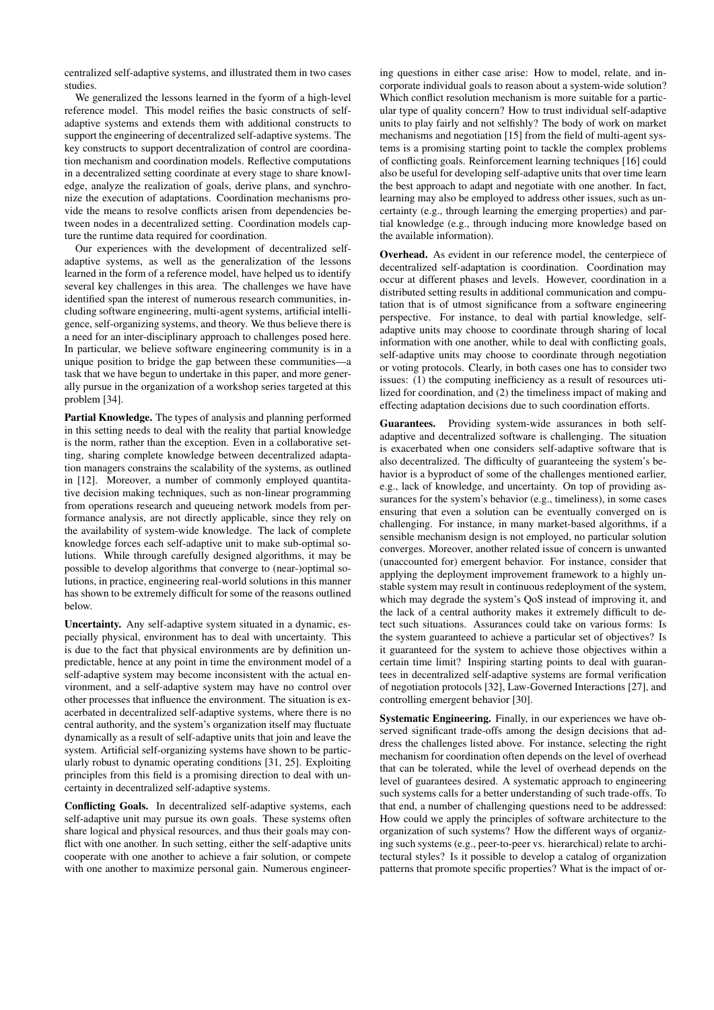centralized self-adaptive systems, and illustrated them in two cases studies.

We generalized the lessons learned in the fyorm of a high-level reference model. This model reifies the basic constructs of selfadaptive systems and extends them with additional constructs to support the engineering of decentralized self-adaptive systems. The key constructs to support decentralization of control are coordination mechanism and coordination models. Reflective computations in a decentralized setting coordinate at every stage to share knowledge, analyze the realization of goals, derive plans, and synchronize the execution of adaptations. Coordination mechanisms provide the means to resolve conflicts arisen from dependencies between nodes in a decentralized setting. Coordination models capture the runtime data required for coordination.

Our experiences with the development of decentralized selfadaptive systems, as well as the generalization of the lessons learned in the form of a reference model, have helped us to identify several key challenges in this area. The challenges we have have identified span the interest of numerous research communities, including software engineering, multi-agent systems, artificial intelligence, self-organizing systems, and theory. We thus believe there is a need for an inter-disciplinary approach to challenges posed here. In particular, we believe software engineering community is in a unique position to bridge the gap between these communities—a task that we have begun to undertake in this paper, and more generally pursue in the organization of a workshop series targeted at this problem [34].

Partial Knowledge. The types of analysis and planning performed in this setting needs to deal with the reality that partial knowledge is the norm, rather than the exception. Even in a collaborative setting, sharing complete knowledge between decentralized adaptation managers constrains the scalability of the systems, as outlined in [12]. Moreover, a number of commonly employed quantitative decision making techniques, such as non-linear programming from operations research and queueing network models from performance analysis, are not directly applicable, since they rely on the availability of system-wide knowledge. The lack of complete knowledge forces each self-adaptive unit to make sub-optimal solutions. While through carefully designed algorithms, it may be possible to develop algorithms that converge to (near-)optimal solutions, in practice, engineering real-world solutions in this manner has shown to be extremely difficult for some of the reasons outlined below.

Uncertainty. Any self-adaptive system situated in a dynamic, especially physical, environment has to deal with uncertainty. This is due to the fact that physical environments are by definition unpredictable, hence at any point in time the environment model of a self-adaptive system may become inconsistent with the actual environment, and a self-adaptive system may have no control over other processes that influence the environment. The situation is exacerbated in decentralized self-adaptive systems, where there is no central authority, and the system's organization itself may fluctuate dynamically as a result of self-adaptive units that join and leave the system. Artificial self-organizing systems have shown to be particularly robust to dynamic operating conditions [31, 25]. Exploiting principles from this field is a promising direction to deal with uncertainty in decentralized self-adaptive systems.

Conflicting Goals. In decentralized self-adaptive systems, each self-adaptive unit may pursue its own goals. These systems often share logical and physical resources, and thus their goals may conflict with one another. In such setting, either the self-adaptive units cooperate with one another to achieve a fair solution, or compete with one another to maximize personal gain. Numerous engineering questions in either case arise: How to model, relate, and incorporate individual goals to reason about a system-wide solution? Which conflict resolution mechanism is more suitable for a particular type of quality concern? How to trust individual self-adaptive units to play fairly and not selfishly? The body of work on market mechanisms and negotiation [15] from the field of multi-agent systems is a promising starting point to tackle the complex problems of conflicting goals. Reinforcement learning techniques [16] could also be useful for developing self-adaptive units that over time learn the best approach to adapt and negotiate with one another. In fact, learning may also be employed to address other issues, such as uncertainty (e.g., through learning the emerging properties) and partial knowledge (e.g., through inducing more knowledge based on the available information).

Overhead. As evident in our reference model, the centerpiece of decentralized self-adaptation is coordination. Coordination may occur at different phases and levels. However, coordination in a distributed setting results in additional communication and computation that is of utmost significance from a software engineering perspective. For instance, to deal with partial knowledge, selfadaptive units may choose to coordinate through sharing of local information with one another, while to deal with conflicting goals, self-adaptive units may choose to coordinate through negotiation or voting protocols. Clearly, in both cases one has to consider two issues: (1) the computing inefficiency as a result of resources utilized for coordination, and (2) the timeliness impact of making and effecting adaptation decisions due to such coordination efforts.

Guarantees. Providing system-wide assurances in both selfadaptive and decentralized software is challenging. The situation is exacerbated when one considers self-adaptive software that is also decentralized. The difficulty of guaranteeing the system's behavior is a byproduct of some of the challenges mentioned earlier, e.g., lack of knowledge, and uncertainty. On top of providing assurances for the system's behavior (e.g., timeliness), in some cases ensuring that even a solution can be eventually converged on is challenging. For instance, in many market-based algorithms, if a sensible mechanism design is not employed, no particular solution converges. Moreover, another related issue of concern is unwanted (unaccounted for) emergent behavior. For instance, consider that applying the deployment improvement framework to a highly unstable system may result in continuous redeployment of the system, which may degrade the system's OoS instead of improving it, and the lack of a central authority makes it extremely difficult to detect such situations. Assurances could take on various forms: Is the system guaranteed to achieve a particular set of objectives? Is it guaranteed for the system to achieve those objectives within a certain time limit? Inspiring starting points to deal with guarantees in decentralized self-adaptive systems are formal verification of negotiation protocols [32], Law-Governed Interactions [27], and controlling emergent behavior [30].

Systematic Engineering. Finally, in our experiences we have observed significant trade-offs among the design decisions that address the challenges listed above. For instance, selecting the right mechanism for coordination often depends on the level of overhead that can be tolerated, while the level of overhead depends on the level of guarantees desired. A systematic approach to engineering such systems calls for a better understanding of such trade-offs. To that end, a number of challenging questions need to be addressed: How could we apply the principles of software architecture to the organization of such systems? How the different ways of organizing such systems (e.g., peer-to-peer vs. hierarchical) relate to architectural styles? Is it possible to develop a catalog of organization patterns that promote specific properties? What is the impact of or